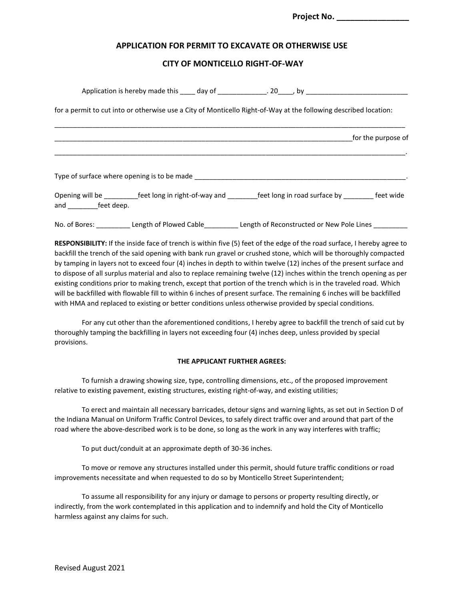Project No.

# **APPLICATION FOR PERMIT TO EXCAVATE OR OTHERWISE USE**

## **CITY OF MONTICELLO RIGHT-OF-WAY**

|                |                                             | Application is hereby made this ____ day of ______________. 20_____, by ____________________________                  |  |
|----------------|---------------------------------------------|-----------------------------------------------------------------------------------------------------------------------|--|
|                |                                             | for a permit to cut into or otherwise use a City of Monticello Right-of-Way at the following described location:      |  |
|                |                                             | <b>EXECUTE:</b> For the purpose of                                                                                    |  |
|                | Type of surface where opening is to be made |                                                                                                                       |  |
| and feet deep. |                                             | Opening will be ___________feet long in right-of-way and __________feet long in road surface by ___________ feet wide |  |
|                |                                             | No. of Bores: ___________ Length of Plowed Cable___________ Length of Reconstructed or New Pole Lines                 |  |

**RESPONSIBILITY:** If the inside face of trench is within five (5) feet of the edge of the road surface, I hereby agree to backfill the trench of the said opening with bank run gravel or crushed stone, which will be thoroughly compacted by tamping in layers not to exceed four (4) inches in depth to within twelve (12) inches of the present surface and to dispose of all surplus material and also to replace remaining twelve (12) inches within the trench opening as per existing conditions prior to making trench, except that portion of the trench which is in the traveled road. Which will be backfilled with flowable fill to within 6 inches of present surface. The remaining 6 inches will be backfilled with HMA and replaced to existing or better conditions unless otherwise provided by special conditions.

 For any cut other than the aforementioned conditions, I hereby agree to backfill the trench of said cut by thoroughly tamping the backfilling in layers not exceeding four (4) inches deep, unless provided by special provisions.

#### **THE APPLICANT FURTHER AGREES:**

 To furnish a drawing showing size, type, controlling dimensions, etc., of the proposed improvement relative to existing pavement, existing structures, existing right-of-way, and existing utilities;

 To erect and maintain all necessary barricades, detour signs and warning lights, as set out in Section D of the Indiana Manual on Uniform Traffic Control Devices, to safely direct traffic over and around that part of the road where the above-described work is to be done, so long as the work in any way interferes with traffic;

To put duct/conduit at an approximate depth of 30-36 inches.

 To move or remove any structures installed under this permit, should future traffic conditions or road improvements necessitate and when requested to do so by Monticello Street Superintendent;

 To assume all responsibility for any injury or damage to persons or property resulting directly, or indirectly, from the work contemplated in this application and to indemnify and hold the City of Monticello harmless against any claims for such.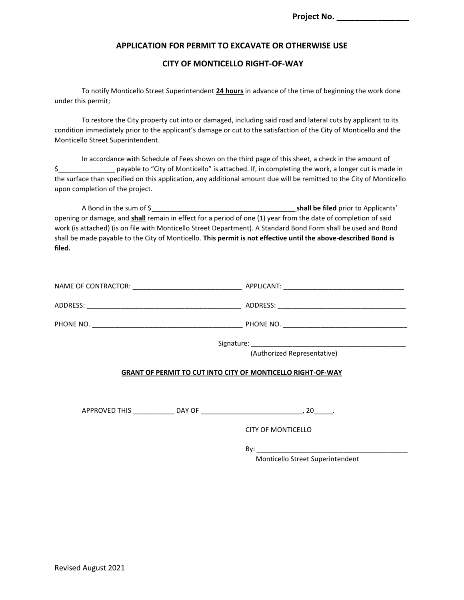# **APPLICATION FOR PERMIT TO EXCAVATE OR OTHERWISE USE**

## **CITY OF MONTICELLO RIGHT-OF-WAY**

 To notify Monticello Street Superintendent **24 hours** in advance of the time of beginning the work done under this permit;

 To restore the City property cut into or damaged, including said road and lateral cuts by applicant to its condition immediately prior to the applicant's damage or cut to the satisfaction of the City of Monticello and the Monticello Street Superintendent.

 In accordance with Schedule of Fees shown on the third page of this sheet, a check in the amount of \$\_\_\_\_\_\_\_\_\_\_\_\_\_\_\_ payable to "City of Monticello" is attached. If, in completing the work, a longer cut is made in the surface than specified on this application, any additional amount due will be remitted to the City of Monticello upon completion of the project.

 A Bond in the sum of \$\_\_\_\_\_\_\_\_\_\_\_\_\_\_\_\_\_\_\_\_\_\_\_\_\_\_\_\_\_\_\_\_\_\_\_\_\_\_ **shall be filed** prior to Applicants' opening or damage, and **shall** remain in effect for a period of one (1) year from the date of completion of said work (is attached) (is on file with Monticello Street Department). A Standard Bond Form shall be used and Bond shall be made payable to the City of Monticello. **This permit is not effective until the above-described Bond is filed.**

| NAME OF CONTRACTOR: | APPLICANT: |
|---------------------|------------|
| ADDRESS:            | ADDRESS:   |
| PHONE NO.           | PHONE NO.  |

Signature:

(Authorized Representative)

## **GRANT OF PERMIT TO CUT INTO CITY OF MONTICELLO RIGHT-OF-WAY**

APPROVED THIS \_\_\_\_\_\_\_\_\_\_\_ DAY OF \_\_\_\_\_\_\_\_\_\_\_\_\_\_\_\_\_\_\_\_\_\_\_\_\_\_\_, 20\_\_\_\_\_.

CITY OF MONTICELLO

By: \_\_\_\_\_\_\_\_\_\_\_\_\_\_\_\_\_\_\_\_\_\_\_\_\_\_\_\_\_\_\_\_\_\_\_\_\_\_\_\_

Monticello Street Superintendent